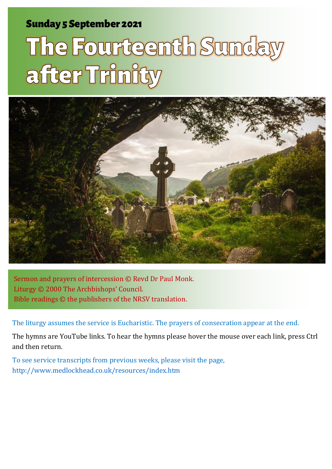### Sunday 5 September 2021 1 The Fourteenth Sunday after Trinity and Sunday after Trinity and Sunday after Trinity

# The Fourteenth Sunday after Trinity



Sermon and prayers of intercession © Revd Dr Paul Monk. Liturgy © 2000 The Archbishops' Council. Bible readings © the publishers of the NRSV translation.

The liturgy assumes the service is Eucharistic. The prayers of consecration appear at the end.

The hymns are YouTube links. To hear the hymns please hover the mouse over each link, press Ctrl and then return.

To see service transcripts from previous weeks, please visit the page, <http://www.medlockhead.co.uk/resources/index.htm>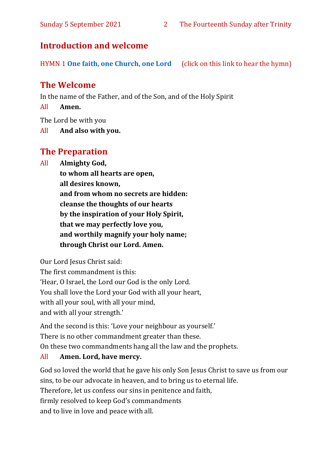#### **Introduction and welcome**

HYMN 1 **[One faith, one Church, one Lord](https://www.youtube.com/watch?v=esJ7WWqG-dI&t=28s)** (click on this link to hear the hymn)

#### **The Welcome**

In the name of the Father, and of the Son, and of the Holy Spirit

All **Amen.**

The Lord be with you

All **And also with you.**

#### **The Preparation**

All **Almighty God,**

**to whom all hearts are open, all desires known, and from whom no secrets are hidden: cleanse the thoughts of our hearts by the inspiration of your Holy Spirit, that we may perfectly love you, and worthily magnify your holy name; through Christ our Lord. Amen.**

Our Lord Jesus Christ said:

The first commandment is this: 'Hear, O Israel, the Lord our God is the only Lord. You shall love the Lord your God with all your heart, with all your soul, with all your mind, and with all your strength.'

And the second is this: 'Love your neighbour as yourself.' There is no other commandment greater than these. On these two commandments hang all the law and the prophets.

#### All **Amen. Lord, have mercy.**

God so loved the world that he gave his only Son Jesus Christ to save us from our sins, to be our advocate in heaven, and to bring us to eternal life. Therefore, let us confess our sins in penitence and faith, firmly resolved to keep God's commandments and to live in love and peace with all.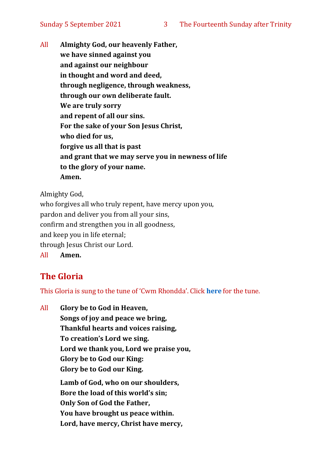All **Almighty God, our heavenly Father, we have sinned against you and against our neighbour in thought and word and deed, through negligence, through weakness, through our own deliberate fault. We are truly sorry and repent of all our sins. For the sake of your Son Jesus Christ, who died for us, forgive us all that is past and grant that we may serve you in newness of life to the glory of your name. Amen.**

Almighty God,

who forgives all who truly repent, have mercy upon you, pardon and deliver you from all your sins, confirm and strengthen you in all goodness, and keep you in life eternal; through Jesus Christ our Lord. All **Amen.**

#### **The Gloria**

This Gloria is sung to the tune of 'Cwm Rhondda'. Click **[here](about:blank)** for the tune.

All **Glory be to God in Heaven, Songs of joy and peace we bring, Thankful hearts and voices raising, To creation's Lord we sing. Lord we thank you, Lord we praise you, Glory be to God our King: Glory be to God our King. Lamb of God, who on our shoulders, Bore the load of this world's sin; Only Son of God the Father, You have brought us peace within. Lord, have mercy, Christ have mercy,**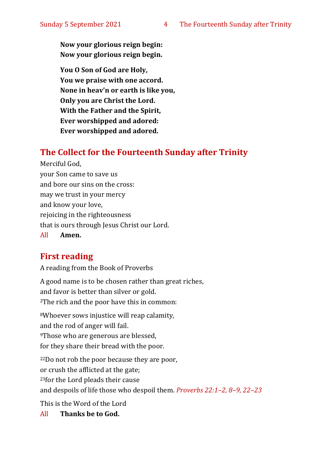**Now your glorious reign begin: Now your glorious reign begin.**

**You O Son of God are Holy, You we praise with one accord. None in heav'n or earth is like you, Only you are Christ the Lord. With the Father and the Spirit, Ever worshipped and adored: Ever worshipped and adored.**

#### **The Collect for the Fourteenth Sunday after Trinity**

Merciful God, your Son came to save us and bore our sins on the cross: may we trust in your mercy and know your love, rejoicing in the righteousness that is ours through Jesus Christ our Lord. All **Amen.**

#### **First reading**

A reading from the Book of Proverbs

A good name is to be chosen rather than great riches, and favor is better than silver or gold. <sup>2</sup>The rich and the poor have this in common:

<sup>8</sup>Whoever sows injustice will reap calamity, and the rod of anger will fail. <sup>9</sup>Those who are generous are blessed, for they share their bread with the poor.

<sup>22</sup>Do not rob the poor because they are poor, or crush the afflicted at the gate; <sup>23</sup>for the Lord pleads their cause and despoils of life those who despoil them. *Proverbs 22:1–2, 8–9, 22–23*

This is the Word of the Lord

All **Thanks be to God.**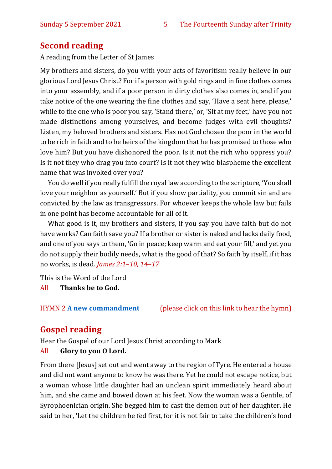#### **Second reading**

A reading from the Letter of St James

My brothers and sisters, do you with your acts of favoritism really believe in our glorious Lord Jesus Christ? For if a person with gold rings and in fine clothes comes into your assembly, and if a poor person in dirty clothes also comes in, and if you take notice of the one wearing the fine clothes and say, 'Have a seat here, please,' while to the one who is poor you say, 'Stand there,' or, 'Sit at my feet,' have you not made distinctions among yourselves, and become judges with evil thoughts? Listen, my beloved brothers and sisters. Has not God chosen the poor in the world to be rich in faith and to be heirs of the kingdom that he has promised to those who love him? But you have dishonored the poor. Is it not the rich who oppress you? Is it not they who drag you into court? Is it not they who blaspheme the excellent name that was invoked over you?

You do well if you really fulfill the royal law according to the scripture, 'You shall love your neighbor as yourself.' But if you show partiality, you commit sin and are convicted by the law as transgressors. For whoever keeps the whole law but fails in one point has become accountable for all of it.

What good is it, my brothers and sisters, if you say you have faith but do not have works? Can faith save you? If a brother or sister is naked and lacks daily food, and one of you says to them, 'Go in peace; keep warm and eat your fill,' and yet you do not supply their bodily needs, what is the good of that? So faith by itself, if it has no works, is dead. *James 2:1–10, 14–17*

This is the Word of the Lord

All **Thanks be to God.**

HYMN 2 **[A new commandment](https://www.youtube.com/watch?v=_0A5T9sD8Ug)** (please click on this link to hear the hymn)

#### **Gospel reading**

Hear the Gospel of our Lord Jesus Christ according to Mark All **Glory to you O Lord.**

From there [Jesus] set out and went away to the region of Tyre. He entered a house and did not want anyone to know he was there. Yet he could not escape notice, but a woman whose little daughter had an unclean spirit immediately heard about him, and she came and bowed down at his feet. Now the woman was a Gentile, of Syrophoenician origin. She begged him to cast the demon out of her daughter. He said to her, 'Let the children be fed first, for it is not fair to take the children's food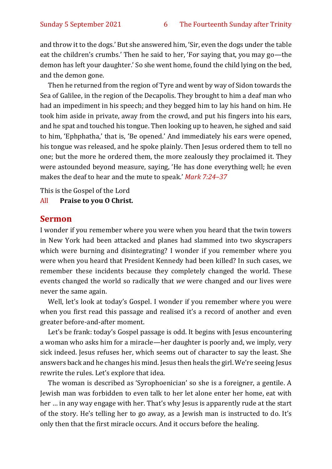and throw it to the dogs.' But she answered him, 'Sir, even the dogs under the table eat the children's crumbs.' Then he said to her, 'For saying that, you may go—the demon has left your daughter.' So she went home, found the child lying on the bed, and the demon gone.

Then he returned from the region of Tyre and went by way of Sidon towards the Sea of Galilee, in the region of the Decapolis. They brought to him a deaf man who had an impediment in his speech; and they begged him to lay his hand on him. He took him aside in private, away from the crowd, and put his fingers into his ears, and he spat and touched his tongue. Then looking up to heaven, he sighed and said to him, 'Ephphatha,' that is, 'Be opened.' And immediately his ears were opened, his tongue was released, and he spoke plainly. Then Jesus ordered them to tell no one; but the more he ordered them, the more zealously they proclaimed it. They were astounded beyond measure, saying, 'He has done everything well; he even makes the deaf to hear and the mute to speak.' *Mark 7:24–37*

This is the Gospel of the Lord

All **Praise to you O Christ.** 

#### **Sermon**

I wonder if you remember where you were when you heard that the twin towers in New York had been attacked and planes had slammed into two skyscrapers which were burning and disintegrating? I wonder if you remember where you were when you heard that President Kennedy had been killed? In such cases, we remember these incidents because they completely changed the world. These events changed the world so radically that *we* were changed and our lives were never the same again.

Well, let's look at today's Gospel. I wonder if you remember where you were when you first read this passage and realised it's a record of another and even greater before-and-after moment.

Let's be frank: today's Gospel passage is odd. It begins with Jesus encountering a woman who asks him for a miracle—her daughter is poorly and, we imply, very sick indeed. Jesus refuses her, which seems out of character to say the least. She answers back and he changes his mind. Jesus then heals the girl. We're seeing Jesus rewrite the rules. Let's explore that idea.

The woman is described as 'Syrophoenician' so she is a foreigner, a gentile. A Jewish man was forbidden to even talk to her let alone enter her home, eat with her … in any way engage with her. That's why Jesus is apparently rude at the start of the story. He's telling her to go away, as a Jewish man is instructed to do. It's only then that the first miracle occurs. And it occurs before the healing.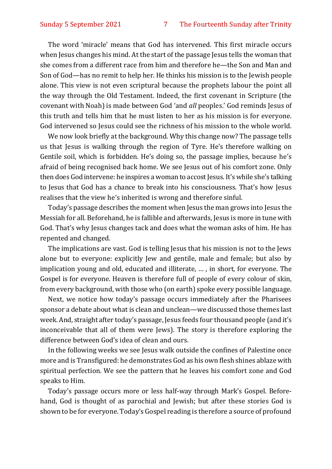The word 'miracle' means that God has intervened. This first miracle occurs when Jesus changes his mind. At the start of the passage Jesus tells the woman that she comes from a different race from him and therefore he—the Son and Man and Son of God—has no remit to help her. He thinks his mission is to the Jewish people alone. This view is not even scriptural because the prophets labour the point all the way through the Old Testament. Indeed, the first covenant in Scripture (the covenant with Noah) is made between God 'and *all* peoples.' God reminds Jesus of this truth and tells him that he must listen to her as his mission is for everyone. God intervened so Jesus could see the richness of his mission to the whole world.

We now look briefly at the background. Why this change now? The passage tells us that Jesus is walking through the region of Tyre. He's therefore walking on Gentile soil, which is forbidden. He's doing so, the passage implies, because he's afraid of being recognised back home. We see Jesus out of his comfort zone. Only then does God intervene: he inspires a woman to accost Jesus. It's while she's talking to Jesus that God has a chance to break into his consciousness. That's how Jesus realises that the view he's inherited is wrong and therefore sinful.

Today's passage describes the moment when Jesus the man grows into Jesus the Messiah for all. Beforehand, he is fallible and afterwards, Jesus is more in tune with God. That's why Jesus changes tack and does what the woman asks of him. He has repented and changed.

The implications are vast. God is telling Jesus that his mission is not to the Jews alone but to everyone: explicitly Jew and gentile, male and female; but also by implication young and old, educated and illiterate, … , in short, for everyone. The Gospel is for everyone. Heaven is therefore full of people of every colour of skin, from every background, with those who (on earth) spoke every possible language.

Next, we notice how today's passage occurs immediately after the Pharisees sponsor a debate about what is clean and unclean—we discussed those themes last week. And, straight after today's passage, Jesus feeds four thousand people (and it's inconceivable that all of them were Jews). The story is therefore exploring the difference between God's idea of clean and ours.

In the following weeks we see Jesus walk outside the confines of Palestine once more and is Transfigured: he demonstrates God as his own flesh shines ablaze with spiritual perfection. We see the pattern that he leaves his comfort zone and God speaks to Him.

Today's passage occurs more or less half-way through Mark's Gospel. Beforehand, God is thought of as parochial and Jewish; but after these stories God is shown to be for everyone. Today's Gospel reading is therefore a source of profound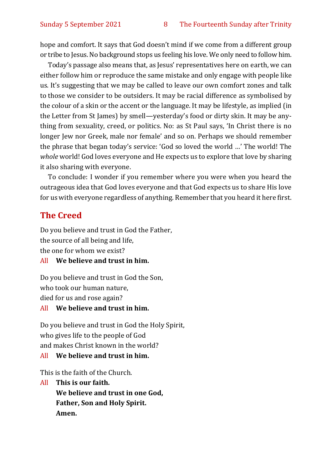hope and comfort. It says that God doesn't mind if we come from a different group or tribe to Jesus. No background stops us feeling his love. We only need to follow him.

Today's passage also means that, as Jesus' representatives here on earth, we can either follow him or reproduce the same mistake and only engage with people like us. It's suggesting that we may be called to leave our own comfort zones and talk to those we consider to be outsiders. It may be racial difference as symbolised by the colour of a skin or the accent or the language. It may be lifestyle, as implied (in the Letter from St James) by smell—yesterday's food or dirty skin. It may be anything from sexuality, creed, or politics. No: as St Paul says, 'In Christ there is no longer Jew nor Greek, male nor female' and so on. Perhaps we should remember the phrase that began today's service: 'God so loved the world …' The world! The *whole* world! God loves everyone and He expects us to explore that love by sharing it also sharing with everyone.

To conclude: I wonder if you remember where you were when you heard the outrageous idea that God loves everyone and that God expects us to share His love for us with everyone regardless of anything. Remember that you heard it here first.

#### **The Creed**

Do you believe and trust in God the Father, the source of all being and life, the one for whom we exist?

#### All **We believe and trust in him.**

Do you believe and trust in God the Son, who took our human nature, died for us and rose again?

#### All **We believe and trust in him.**

Do you believe and trust in God the Holy Spirit, who gives life to the people of God and makes Christ known in the world?

#### All **We believe and trust in him.**

This is the faith of the Church.

All **This is our faith. We believe and trust in one God, Father, Son and Holy Spirit. Amen.**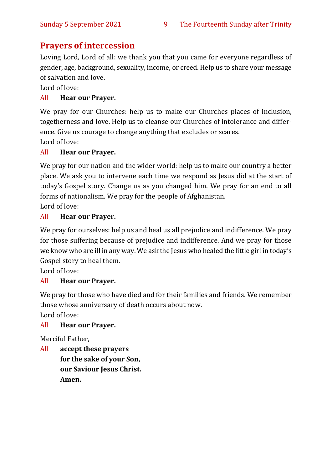#### **Prayers of intercession**

Loving Lord, Lord of all: we thank you that you came for everyone regardless of gender, age, background, sexuality, income, or creed. Help us to share your message of salvation and love.

Lord of love:

#### All **Hear our Prayer.**

We pray for our Churches: help us to make our Churches places of inclusion, togetherness and love. Help us to cleanse our Churches of intolerance and difference. Give us courage to change anything that excludes or scares.

Lord of love:

#### All **Hear our Prayer.**

We pray for our nation and the wider world: help us to make our country a better place. We ask you to intervene each time we respond as Jesus did at the start of today's Gospel story. Change us as you changed him. We pray for an end to all forms of nationalism. We pray for the people of Afghanistan.

Lord of love:

#### All **Hear our Prayer.**

We pray for ourselves: help us and heal us all prejudice and indifference. We pray for those suffering because of prejudice and indifference. And we pray for those we know who are ill in any way. We ask the Jesus who healed the little girl in today's Gospel story to heal them.

Lord of love:

#### All **Hear our Prayer.**

We pray for those who have died and for their families and friends. We remember those whose anniversary of death occurs about now.

Lord of love:

#### All **Hear our Prayer.**

Merciful Father,

All **accept these prayers for the sake of your Son, our Saviour Jesus Christ. Amen.**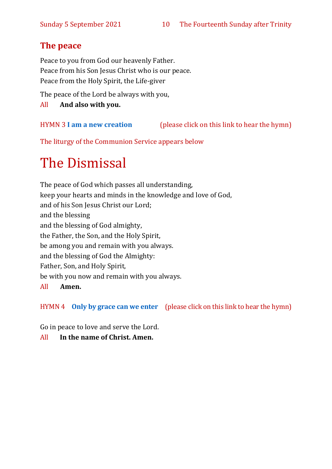#### **The peace**

Peace to you from God our heavenly Father. Peace from his Son Jesus Christ who is our peace. Peace from the Holy Spirit, the Life-giver

The peace of the Lord be always with you,

All **And also with you.**

HYMN 3 **[I am a new creation](https://www.youtube.com/watch?v=Kt0u2iwmuEA)** (please click on this link to hear the hymn)

The liturgy of the Communion Service appears below

# The Dismissal

The peace of God which passes all understanding, keep your hearts and minds in the knowledge and love of God, and of his Son Jesus Christ our Lord; and the blessing and the blessing of God almighty, the Father, the Son, and the Holy Spirit, be among you and remain with you always. and the blessing of God the Almighty: Father, Son, and Holy Spirit, be with you now and remain with you always. All **Amen.**

HYMN 4 **[Only by grace can we enter](https://www.youtube.com/watch?v=hv72Q23lIp0)** (please click on this link to hear the hymn)

Go in peace to love and serve the Lord.

All **In the name of Christ. Amen.**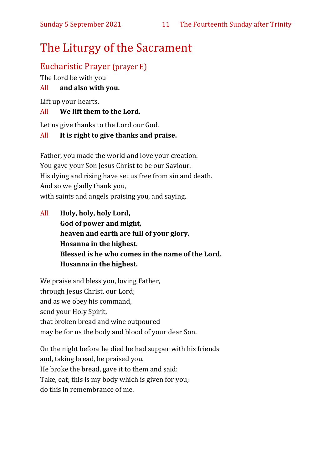## The Liturgy of the Sacrament

#### Eucharistic Prayer (prayer E)

The Lord be with you

#### All **and also with you.**

Lift up your hearts.

#### All **We lift them to the Lord.**

Let us give thanks to the Lord our God.

#### All **It is right to give thanks and praise.**

Father, you made the world and love your creation. You gave your Son Jesus Christ to be our Saviour. His dying and rising have set us free from sin and death. And so we gladly thank you, with saints and angels praising you, and saying,

All **Holy, holy, holy Lord, God of power and might, heaven and earth are full of your glory. Hosanna in the highest. Blessed is he who comes in the name of the Lord. Hosanna in the highest.**

We praise and bless you, loving Father, through Jesus Christ, our Lord; and as we obey his command, send your Holy Spirit, that broken bread and wine outpoured may be for us the body and blood of your dear Son.

On the night before he died he had supper with his friends and, taking bread, he praised you. He broke the bread, gave it to them and said: Take, eat; this is my body which is given for you; do this in remembrance of me.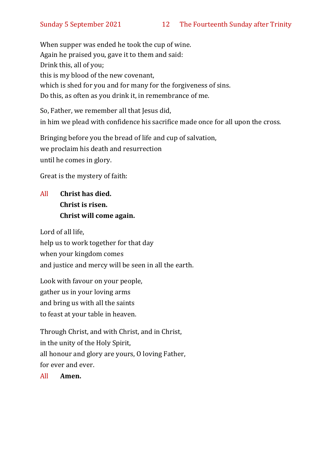When supper was ended he took the cup of wine. Again he praised you, gave it to them and said: Drink this, all of you; this is my blood of the new covenant, which is shed for you and for many for the forgiveness of sins. Do this, as often as you drink it, in remembrance of me.

So, Father, we remember all that Jesus did, in him we plead with confidence his sacrifice made once for all upon the cross.

Bringing before you the bread of life and cup of salvation, we proclaim his death and resurrection until he comes in glory.

Great is the mystery of faith:

#### All **Christ has died. Christ is risen. Christ will come again.**

Lord of all life, help us to work together for that day when your kingdom comes and justice and mercy will be seen in all the earth.

Look with favour on your people, gather us in your loving arms and bring us with all the saints to feast at your table in heaven.

Through Christ, and with Christ, and in Christ, in the unity of the Holy Spirit, all honour and glory are yours, O loving Father, for ever and ever.

All **Amen.**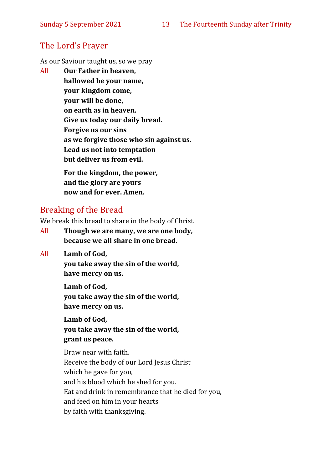#### The Lord's Prayer

As our Saviour taught us, so we pray

All **Our Father in heaven, hallowed be your name, your kingdom come, your will be done, on earth as in heaven. Give us today our daily bread. Forgive us our sins as we forgive those who sin against us. Lead us not into temptation but deliver us from evil. For the kingdom, the power,** 

**and the glory are yours now and for ever. Amen.**

#### Breaking of the Bread

We break this bread to share in the body of Christ.

- All **Though we are many, we are one body, because we all share in one bread.**
- All **Lamb of God,**

**you take away the sin of the world, have mercy on us.**

**Lamb of God, you take away the sin of the world, have mercy on us.**

**Lamb of God, you take away the sin of the world, grant us peace.**

Draw near with faith. Receive the body of our Lord Jesus Christ which he gave for you, and his blood which he shed for you. Eat and drink in remembrance that he died for you, and feed on him in your hearts by faith with thanksgiving.